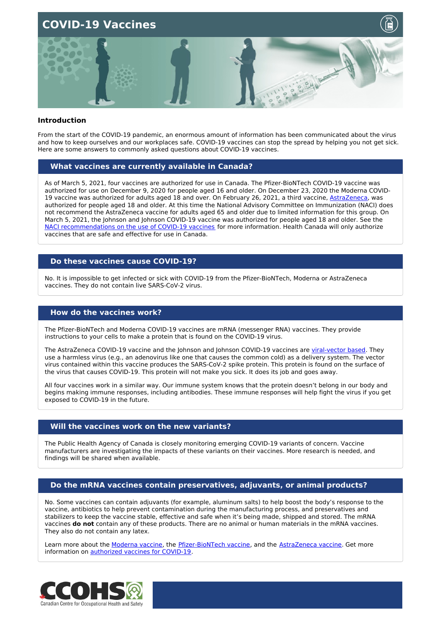

#### **Introduction**

From the start of the COVID-19 pandemic, an enormous amount of information has been communicated about the virus and how to keep ourselves and our workplaces safe. COVID-19 vaccines can stop the spread by helping you not get sick. Here are some answers to commonly asked questions about COVID-19 vaccines.

#### **What vaccines are currently available in Canada?**

As of March 5, 2021, four vaccines are authorized for use in Canada. The Pfizer-BioNTech COVID-19 vaccine was authorized for use on December 9, 2020 for people aged 16 and older. On December 23, 2020 the Moderna COVID-19 vaccine was authorized for adults aged 18 and over. On February 26, 2021, a third vaccine, [AstraZeneca](https://www.canada.ca/en/health-canada/services/drugs-health-products/covid19-industry/drugs-vaccines-treatments/vaccines/astrazeneca.html), was authorized for people aged 18 and older. At this time the National Advisory Committee on Immunization (NACI) does not recommend the AstraZeneca vaccine for adults aged 65 and older due to limited information for this group. On March 5, 2021, the Johnson and Johnson COVID-19 vaccine was authorized for people aged 18 and older. See the NACI [recommendations](https://www.canada.ca/en/public-health/services/immunization/national-advisory-committee-on-immunization-naci/recommendations-use-covid-19-vaccines.html) on the use of COVID-19 vaccines for more information. Health Canada will only authorize vaccines that are safe and effective for use in Canada.

#### **Do these vaccines cause COVID-19?**

No. It is impossible to get infected or sick with COVID-19 from the Pfizer-BioNTech, Moderna or AstraZeneca vaccines. They do not contain live SARS-CoV-2 virus.

#### **How do the vaccines work?**

The Pfizer-BioNTech and Moderna COVID-19 vaccines are mRNA (messenger RNA) vaccines. They provide instructions to your cells to make a protein that is found on the COVID-19 virus.

The AstraZeneca COVID-19 vaccine and the Johnson and Johnson COVID-19 vaccines are [viral-vector](https://www.canada.ca/en/health-canada/services/drugs-health-products/covid19-industry/drugs-vaccines-treatments/vaccines/astrazeneca.html#a2) based. They use a harmless virus (e.g., an adenovirus like one that causes the common cold) as a delivery system. The vector virus contained within this vaccine produces the SARS-CoV-2 spike protein. This protein is found on the surface of the virus that causes COVID-19. This protein will not make you sick. It does its job and goes away.

All four vaccines work in a similar way. Our immune system knows that the protein doesn't belong in our body and begins making immune responses, including antibodies. These immune responses will help fight the virus if you get exposed to COVID-19 in the future.

#### **Will the vaccines work on the new variants?**

The Public Health Agency of Canada is closely monitoring emerging COVID-19 variants of concern. Vaccine manufacturers are investigating the impacts of these variants on their vaccines. More research is needed, and findings will be shared when available.

#### **Do the mRNA vaccines contain preservatives, adjuvants, or animal products?**

No. Some vaccines can contain adjuvants (for example, aluminum salts) to help boost the body's response to the vaccine, antibiotics to help prevent contamination during the manufacturing process, and preservatives and stabilizers to keep the vaccine stable, effective and safe when it's being made, shipped and stored. The mRNA vaccines **do not** contain any of these products. There are no animal or human materials in the mRNA vaccines. They also do not contain any latex.

Learn more about the [Moderna](https://www.canada.ca/en/health-canada/services/drugs-health-products/covid19-industry/drugs-vaccines-treatments/vaccines/moderna.html) vaccine, the [Pfizer-BioNTech](https://www.canada.ca/en/health-canada/services/drugs-health-products/covid19-industry/drugs-vaccines-treatments/vaccines/pfizer-biontech.html) vaccine, and the [AstraZeneca](https://www.canada.ca/en/health-canada/services/drugs-health-products/covid19-industry/drugs-vaccines-treatments/vaccines/astrazeneca.html) vaccine. Get more information on [authorized](https://www.canada.ca/en/public-health/services/immunization/national-advisory-committee-on-immunization-naci/recommendations-use-covid-19-vaccines.html) vaccines for COVID-19.

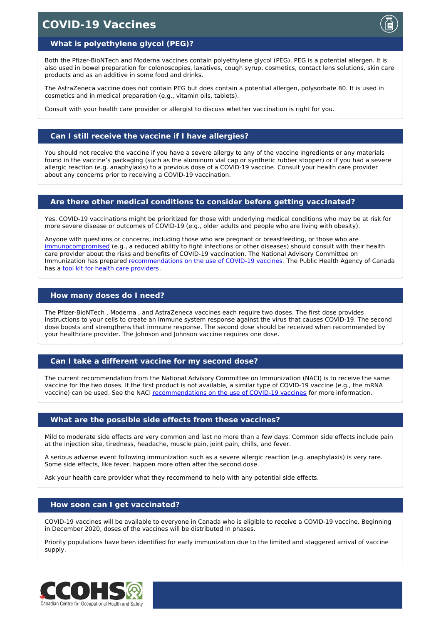## **COVID-19 Vaccines**

#### **What is polyethylene glycol (PEG)?**

Both the Pfizer-BioNTech and Moderna vaccines contain polyethylene glycol (PEG). PEG is a potential allergen. It is also used in bowel preparation for colonoscopies, laxatives, cough syrup, cosmetics, contact lens solutions, skin care products and as an additive in some food and drinks.

The AstraZeneca vaccine does not contain PEG but does contain a potential allergen, polysorbate 80. It is used in cosmetics and in medical preparation (e.g., vitamin oils, tablets).

Consult with your health care provider or allergist to discuss whether vaccination is right for you.

#### **Can I still receive the vaccine if I have allergies?**

You should not receive the vaccine if you have a severe allergy to any of the vaccine ingredients or any materials found in the vaccine's packaging (such as the aluminum vial cap or synthetic rubber stopper) or if you had a severe allergic reaction (e.g. anaphylaxis) to a previous dose of a COVID-19 vaccine. Consult your health care provider about any concerns prior to receiving a COVID-19 vaccination.

#### **Are there other medical conditions to consider before getting vaccinated?**

Yes. COVID-19 vaccinations might be prioritized for those with underlying medical conditions who may be at risk for more severe disease or outcomes of COVID-19 (e.g., older adults and people who are living with obesity).

Anyone with questions or concerns, including those who are pregnant or breastfeeding, or those who are [immunocompromised](https://www.healthline.com/health/immunocompromised-how-to-know-if-you-have-a-weakened-immune-system#What-does-immunocompromised-mean?) (e.g., a reduced ability to fight infections or other diseases) should consult with their health care provider about the risks and benefits of COVID-19 vaccination. The National Advisory Committee on Immunization has prepared [recommendations](https://www.canada.ca/en/public-health/services/publications/healthy-living/canadian-immunization-guide-part-2-vaccine-safety/page-3-contraindications-precautions-concerns.html) on the use of COVID-19 vaccines. The Public Health Agency of Canada has a tool kit for health care [providers](https://www.canada.ca/content/dam/phac-aspc/documents/services/diseases-maladies/2019-novel-coronavirus-infection/health-professionals/covid-19-healthcare-professionals-vaccine-toolkit.pdf).

#### **How many doses do I need?**

The Pfizer-BioNTech , Moderna , and AstraZeneca vaccines each require two doses. The first dose provides instructions to your cells to create an immune system response against the virus that causes COVID-19. The second dose boosts and strengthens that immune response. The second dose should be received when recommended by your healthcare provider. The Johnson and Johnson vaccine requires one dose.

#### **Can I take a different vaccine for my second dose?**

The current recommendation from the National Advisory Committee on Immunization (NACI) is to receive the same vaccine for the two doses. If the first product is not available, a similar type of COVID-19 vaccine (e.g., the mRNA vaccine) can be used. See the NACI [recommendations](https://www.canada.ca/en/public-health/services/immunization/national-advisory-committee-on-immunization-naci/recommendations-use-covid-19-vaccines.html) on the use of COVID-19 vaccines for more information.

#### **What are the possible side effects from these vaccines?**

Mild to moderate side effects are very common and last no more than a few days. Common side effects include pain at the injection site, tiredness, headache, muscle pain, joint pain, chills, and fever.

A serious adverse event following immunization such as a severe allergic reaction (e.g. anaphylaxis) is very rare. Some side effects, like fever, happen more often after the second dose.

Ask your health care provider what they recommend to help with any potential side effects.

#### **How soon can I get vaccinated?**

COVID-19 vaccines will be available to everyone in Canada who is eligible to receive a COVID-19 vaccine. Beginning in December 2020, doses of the vaccines will be distributed in phases.

Priority populations have been identified for early immunization due to the limited and staggered arrival of vaccine supply.

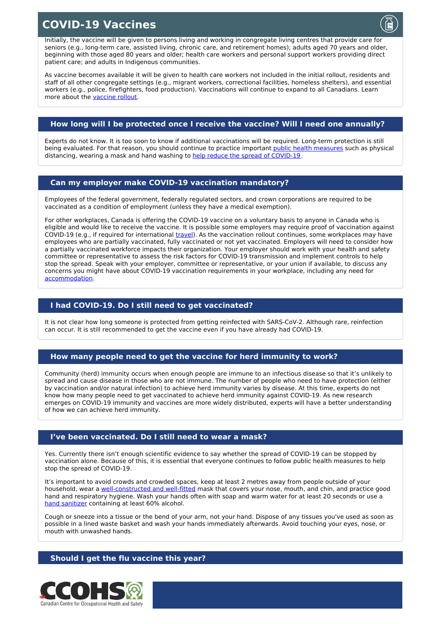# **COVID-19 Vaccines**



As vaccine becomes available it will be given to health care workers not included in the initial rollout, residents and staff of all other congregate settings (e.g., migrant workers, correctional facilities, homeless shelters), and essential workers (e.g., police, firefighters, food production). Vaccinations will continue to expand to all Canadians. Learn more about the [vaccine](https://www.canada.ca/en/public-health/services/diseases/2019-novel-coronavirus-infection/prevention-risks/covid-19-vaccine-treatment/vaccine-rollout.html) rollout.

### **How long will I be protected once I receive the vaccine? Will I need one annually?**

Experts do not know. It is too soon to know if additional vaccinations will be required. Long-term protection is still being evaluated. For that reason, you should continue to practice important public health [measures](https://www.canada.ca/en/public-health/services/diseases/2019-novel-coronavirus-infection/prevention-risks.html#p) such as physical distancing, wearing a mask and hand washing to help reduce the spread of [COVID-19](https://www.canada.ca/en/public-health/services/diseases/2019-novel-coronavirus-infection/prevention-risks.html#p).

#### **Can my employer make COVID-19 vaccination mandatory?**

Employees of the federal government, federally regulated sectors, and crown corporations are required to be vaccinated as a condition of employment (unless they have a medical exemption).

For other workplaces, Canada is offering the COVID-19 vaccine on a voluntary basis to anyone in Canada who is eligible and would like to receive the vaccine. It is possible some employers may require proof of vaccination against COVID-19 (e.g., if required for international *[travel](https://www.canada.ca/en/public-health/news/2021/02/government-of-canada-expands-restrictions-to-international-travel-by-land-and-air.html)*). As the vaccination rollout continues, some workplaces may have employees who are partially vaccinated, fully vaccinated or not yet vaccinated. Employers will need to consider how a partially vaccinated workforce impacts their organization. Your employer should work with your health and safety committee or representative to assess the risk factors for COVID-19 transmission and implement controls to help stop the spread. Speak with your employer, committee or representative, or your union if available, to discuss any concerns you might have about COVID-19 vaccination requirements in your workplace, including any need for [accommodation](https://www.chrc-ccdp.gc.ca/en/about-human-rights/what-the-duty-accommodate).

#### **I had COVID-19. Do I still need to get vaccinated?**

It is not clear how long someone is protected from getting reinfected with SARS-CoV-2. Although rare, reinfection can occur. It is still recommended to get the vaccine even if you have already had COVID-19.

#### **How many people need to get the vaccine for herd immunity to work?**

Community (herd) immunity occurs when enough people are immune to an infectious disease so that it's unlikely to spread and cause disease in those who are not immune. The number of people who need to have protection (either by vaccination and/or natural infection) to achieve herd immunity varies by disease. At this time, experts do not know how many people need to get vaccinated to achieve herd immunity against COVID-19. As new research emerges on COVID-19 immunity and vaccines are more widely distributed, experts will have a better understanding of how we can achieve herd immunity.

#### **I've been vaccinated. Do I still need to wear a mask?**

Yes. Currently there isn't enough scientific evidence to say whether the spread of COVID-19 can be stopped by vaccination alone. Because of this, it is essential that everyone continues to follow public health measures to help stop the spread of COVID-19.

It's important to avoid crowds and crowded spaces, keep at least 2 metres away from people outside of your household, wear a [well-constructed](https://www.canada.ca/en/public-health/services/diseases/2019-novel-coronavirus-infection/prevention-risks/about-non-medical-masks-face-coverings.html) and well-fitted mask that covers your nose, mouth, and chin, and practice good hand and respiratory hygiene. Wash your hands often with soap and warm water for at least 20 seconds or use a hand [sanitizer](https://www.canada.ca/en/health-canada/services/drugs-health-products/disinfectants/covid-19/hand-sanitizer.html) containing at least 60% alcohol.

Cough or sneeze into a tissue or the bend of your arm, not your hand. Dispose of any tissues you've used as soon as possible in a lined waste basket and wash your hands immediately afterwards. Avoid touching your eyes, nose, or mouth with unwashed hands.

#### **Should I get the flu vaccine this year?**